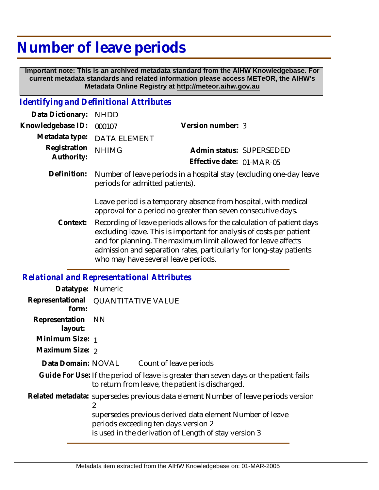## **Number of leave periods**

 **Important note: This is an archived metadata standard from the AIHW Knowledgebase. For current metadata standards and related information please access METeOR, the AIHW's Metadata Online Registry at http://meteor.aihw.gov.au**

## *Identifying and Definitional Attributes*

| Data Dictionary: NHDD      |                                                                                                        |                           |                          |
|----------------------------|--------------------------------------------------------------------------------------------------------|---------------------------|--------------------------|
| Knowledgebase ID:          | 000107                                                                                                 | Version number: 3         |                          |
|                            | Metadata type: DATA ELEMENT                                                                            |                           |                          |
| Registration<br>Authority: | <b>NHIMG</b>                                                                                           | Effective date: 01-MAR-05 | Admin status: SUPERSEDED |
| Definition:                | Number of leave periods in a hospital stay (excluding one-day leave<br>periods for admitted patients). |                           |                          |

Leave period is a temporary absence from hospital, with medical approval for a period no greater than seven consecutive days.

Recording of leave periods allows for the calculation of patient days excluding leave. This is important for analysis of costs per patient and for planning. The maximum limit allowed for leave affects admission and separation rates, particularly for long-stay patients who may have several leave periods. **Context:**

## *Relational and Representational Attributes*

| Datatype: Numeric                                                                                                                                         |  |  |
|-----------------------------------------------------------------------------------------------------------------------------------------------------------|--|--|
| Representational QUANTITATIVE VALUE                                                                                                                       |  |  |
| NN.                                                                                                                                                       |  |  |
| Minimum Size: 1                                                                                                                                           |  |  |
| Maximum Size: 2                                                                                                                                           |  |  |
| Data Domain: NOVAL<br>Count of leave periods                                                                                                              |  |  |
| Guide For Use: If the period of leave is greater than seven days or the patient fails<br>to return from leave, the patient is discharged.                 |  |  |
| Related metadata: supersedes previous data element Number of leave periods version<br>2                                                                   |  |  |
| supersedes previous derived data element Number of leave<br>periods exceeding ten days version 2<br>is used in the derivation of Length of stay version 3 |  |  |
|                                                                                                                                                           |  |  |